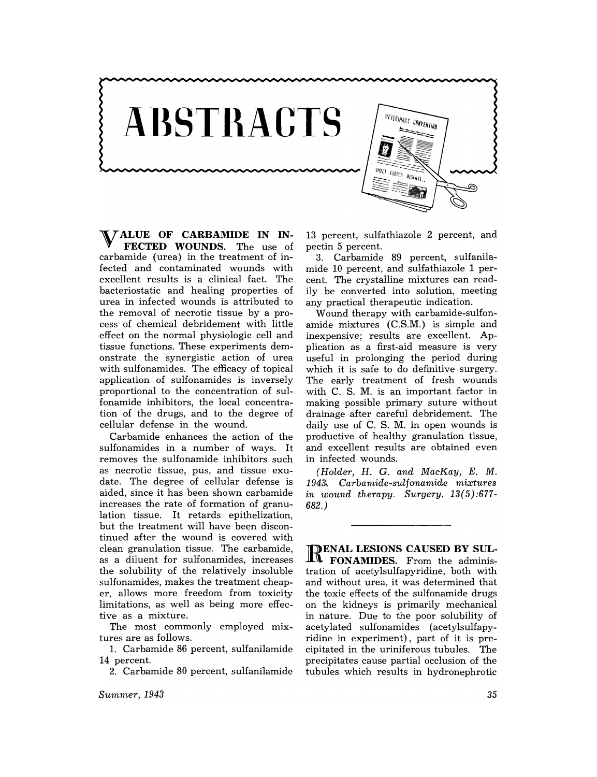

V ALUE **OF CARBAMIDE IN IN-FECTED WOUNDS.** The use of carbamide (urea) in the treatment of infected and contaminated wounds with excellent results is a clinical fact. The bacteriostatic and healing properties of urea in infected wounds is attributed to the removal of necrotic tissue by a process of chemical debridement with little effect on the normal physiologic cell and tissue functions. These experiments demonstrate the synergistic action of urea with sulfonamides. The efficacy of topical application of sulfonamides is inversely proportional to the concentration of sulfonamide inhibitors, the local concentration of the drugs, and to the degree of cellular defense in the wound.

Carbamide enhances the action of the sulfonamides in a number of ways. It removes the sulfonamide inhibitors such as necrotic tissue, pus, and tissue exudate. The degree of cellular defense is aided, since it has been shown carbamide increases the rate of formation of granulation tissue. It retards epithelization, but the treatment will have been discontinued after the wound is covered with clean granulation tissue. The carbamide, as a diluent for sulfonamides, increases the solubility of the relatively insoluble sulfonamides, makes the treatment cheaper, allows more freedom from toxicity limitations, as well as being more effective as a mixture.

The most commonly employed mixtures are as follows.

1. Carbamide 86 percent, sulfanilamide 14 percent.

2. Carbamide 80 percent, sulfanilamide

13 percent, sulfathiazole 2 percent, and pectin 5 percent.

3. Carbamide 89 percent, sulfanilamide 10 percent, and sulfathiazole 1 percent. The crystalline mixtures can readily be converted into solution, meeting any practical therapeutic indication.

Wound therapy with carbamide-sulfonamide mixtures (C.S.M.) is simple and inexpensive; results are excellent. Application as a first-aid measure is very useful in prolonging the period during which it is safe to do definitive surgery. The early treatment of fresh wounds with C. S. M. is an important factor in making possible primary suture without drainage after careful debridement. The daily use of C. S. M. in open wounds is productive of healthy granulation tissue, and excellent results are obtained even in infected wounds.

*(Holder,* H. G. *and MacKay, E.* M. 1943, Carbamide-sulfonamide mixtures *in wound therapy. Surgery. 13(5):677-* 682.)

**DENAL LESIONS CAUSED BY SUL-FONAMIDES.** From the administration of acetylsulfapyridine, both with and without urea, it was determined that the toxic effects of the sulfonamide drugs on the kidneys is primarily mechanical in nature. Due to the poor solubility of acetylated sulfonamides (acetylsulfapyridine in experiment), part of it is precipitated in the uriniferous tubules. The precipitates cause partial occlusion of the tubules which results in hydronephrotic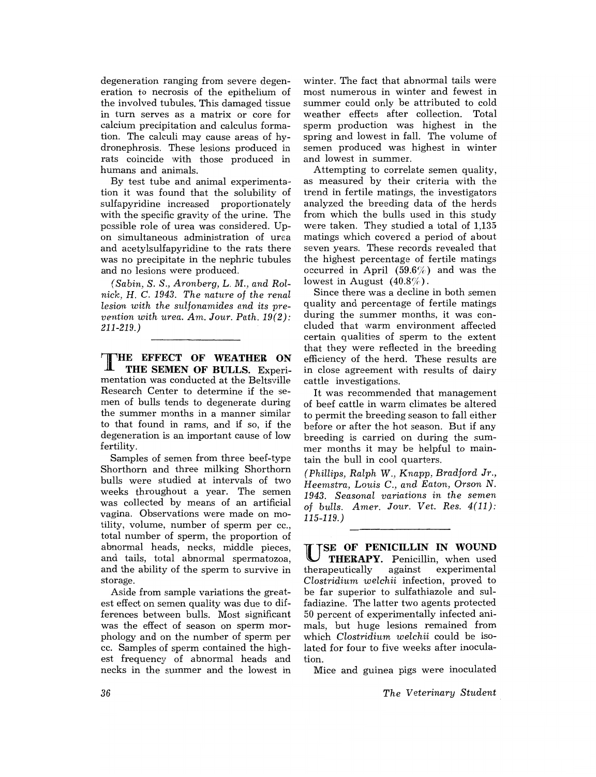degeneration ranging from severe degeneration to necrosis of the epithelium of the involved tubules. This damaged tissue in turn serves as a matrix or core for calcium precipitation and calculus formation. The calculi may cause areas of hydronephrosis. These lesions produced in rats coincide with those produced in humans and animals.

By test tube and animal experimentation it was found that the solubility of sulfapyridine increased proportionately with the specific gravity of the urine. The possible role of urea was considered. Upon simultaneous administration of urea and acetylsulfapyridine to the rats there was no precipitate in the nephric tubules and no lesions were produced.

*(Sabin,* S. *S., Aronberg,* L. *M ... and Rolnick, H.* C. 1943. *The nature* of *the renal lesion with the sulfonamides and its prevention with urea. Am. Jour. Path. 19(2):*  211-219.)

THE **EFFECT OF WEATHER ON THE SEMEN OF BULLS.** Experimentation was conducted at the Beltsville Research Center to determine if the semen of bulls tends to degenerate during the summer months in a manner similar to that found in rams, and if so, if the degeneration is an important cause of low fertility.

Samples of semen from three beef-type Shorthorn and three milking Shorthorn bulls were studied at intervals of two weeks throughout a year. The semen was collected by means of an artificial vagina. Observations were made on motility, volume, number of sperm per cc., total number of sperm, the proportion of abnormal heads, necks, middle pieces, and tails, total abnormal spermatozoa, and the ability of the sperm to survive in storage.

Aside from sample variations the greatest effect on semen quality was due to differences between bulls. Most significant was the effect of season on sperm morphology and on the number of sperm per cc. Samples of sperm contained the highest frequency of abnormal heads and necks in the summer and the lowest in

winter. The fact that abnormal tails were most numerous in winter and fewest in summer could only be attributed to cold weather effects after collection. Total sperm production was highest in the spring and lowest in fall. The volume of semen produced was highest in winter and lowest in summer.

Attempting to correlate semen quality, as measured by their criteria with the trend in fertile matings, the investigators analyzed the breeding data of the herds from which the bulls used in this study were taken. They studied a total of 1,135 matings which covered a period of about seven years. These records revealed that the highest percentage of fertile matings occurred in April (59.6%) and was the lowest in August  $(40.8\%)$ .

Since there was a decline in both semen quality and percentage of fertile matings during the summer months, it was concluded that warm environment affected certain qualities of sperm to the extent that they were reflected in the breeding efficiency of the herd. These results are in close agreement with results of dairy cattle investigations.

It was recommended that management of beef cattle in warm climates be altered to permit the breeding season to fall either before or after the hot season. But if any breeding is carried on during the summer months it may be helpful to maintain the bull in cool quarters.

*(Phillips, Ralph* W., *Knapp, Bradford Jr., Heemstra, Louis C., and Eaton, Orson* N. *1943. Seasonal variations in the semen*  of *bulls. Amer. Jour. Vet. Res. 4(11):*  115-119.)

USE **OF PENICILLIN IN WOUND U THERAPY.** Penicillin, when used therapeutically against experimental against experimental *Clostridium welchii* infection, proved to be far superior to sulfathiazole and sulfadiazine. The latter two agents protected 50 percent of experimentally infected animals, but huge lesions remained from which *Clostridium welchii* could be isolated for four to five weeks after inoculation.

Mice and guinea pigs were inoculated

*The Veterinary Student.*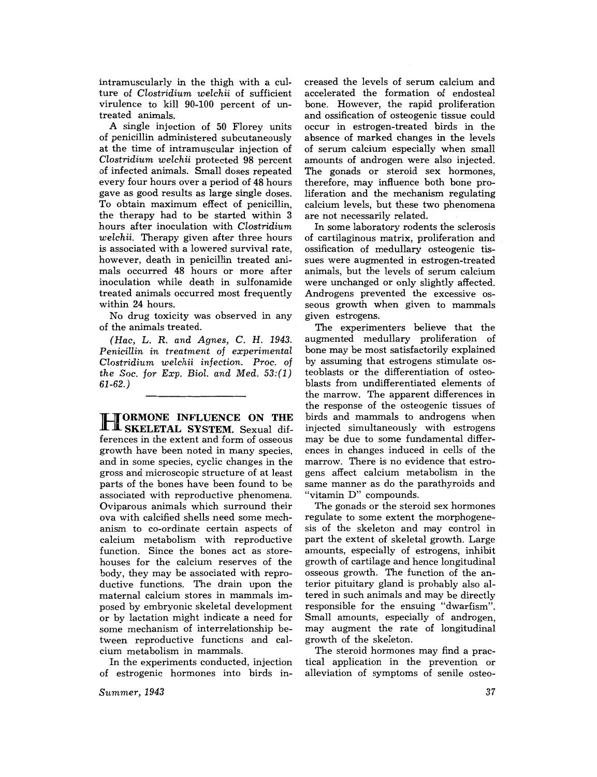intramuscularly in the thigh with a culture of *Clostridium welchii* of sufficient virulence to kill 90-100 percent of untreated animals.

A single injection of 50 Florey units of penicillin administered subcutaneously at the time of intramuscular injection of *Clostridium welchii* protected 98 percent of infected animals. Small doses repeated every four hours over a period of 48 hours gave as good results as large single doses. To obtain maximum effect of penicillin, the therapy had to be started within 3 hours after inoculation with *Clostridium welchii.* Therapy given after three hours is associated with a lowered survival rate, however, death in penicillin treated animals occurred 48 hours or more after inoculation while death in sulfonamide treated animals occurred most frequently within 24 hours.

No drug toxicity was observed in any of the animals treated.

*(Hac,* L. R. *and Agnes,* C. H. 1943. *Penicillin in treatment* of *experimental Clostridium welchii infection. Proc.* of *the Soc. for Exp. Biol. and Med. 53:(1)*  61-62.)

H ORMONE **INFLUENCE ON THE SKELETAL SYSTEM.** Sexual differences in the extent and form of osseous growth have been noted in many species, and in some species, cyclic changes in the gross and microscopic structure of at least parts of the bones have been found to be associated with reproductive phenomena. Oviparous animals which surround their ova with calcified shells need some mechanism to co-ordinate certain aspects of calcium metabolism with reproductive function. Since the bones act as storehouses for the calcium reserves of the body, they may be associated with reproductive functions. The drain upon the maternal calcium stores in mammals imposed by embryonic skeletal development or by lactation might indicate a need for some mechanism of interrelationship between reproductive functions and calcium metabolism in mammals.

In the experiments conducted, injection of estrogenic hormones into birds in-

*Summer, 1943* 

creased the levels of serum calcium and accelerated the formation of endosteal bone. However, the rapid proliferation and ossification of osteogenic tissue could occur in estrogen-treated birds in the absence of marked changes in the levels of serum calcium especially when small amounts of androgen were also injected. The gonads or steroid sex hormones, therefore, may influence both bone proliferation and the mechanism regulating calcium levels, but these two phenomena are not necessarily related.

In some laboratory rodents the sclerosis of cartilaginous matrix, proliferation and ossification of medullary osteogenic tissues were augmented in estrogen-treated animals, but the levels of serum calcium were unchanged or only slightly affected. Androgens prevented the excessive osseous growth when given to mammals given estrogens.

The experimenters believe that the augmented medullary proliferation of bone may be most satisfactorily explained by assuming that estrogens stimulate osteo blasts or the differentiation of osteoblasts from undifferentiated elements of the marrow. The apparent differences in the response of the osteogenic tissues of birds and mammals to androgens when injected simultaneously with estrogens may be due to some fundamental differences in changes induced in cells of the marrow. There is no evidence that estrogens affect calcium metabolism in the same manner as do the parathyroids and "vitamin D" compounds.

The gonads or the steroid sex hormones regulate to some extent the morphogenesis of the skeleton and may control in part the extent of skeletal growth. Large amounts, especially of estrogens, inhibit growth of cartilage and hence longitudinal osseous growth. The function of the anterior pituitary gland is probably also altered in such animals and may be directly responsible for the ensuing "dwarfism". Small amounts, especially of androgen, may augment the rate of longitudinal growth of the skeleton.

The steroid hormones may find a practical application in the prevention or alleviation of symptoms of senile osteo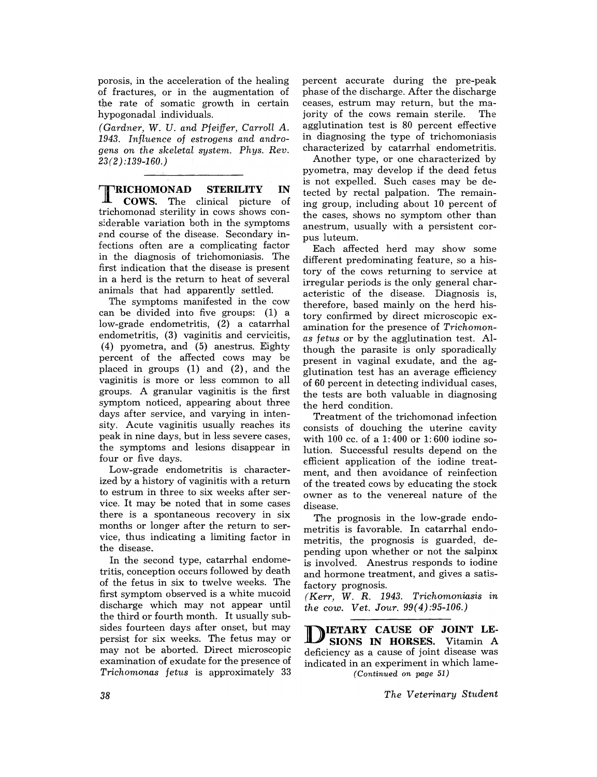porosis, in the acceleration of the healing of fractures, or in the augmentation of the rate of somatic growth in certain hypogonadal individuals.

*(Gardner,* W. *U. and Pfeiffer, Carroll A. 1943. Influence of estrogens and androgens on· the skeletal system. Phys. Rev. 23(2) :139-160.)* 

TRICHOMONAD **STERILITY IN**  COWS. The clinical picture of trichomonad sterility in cows shows considerable variation both in the symptoms end course of the disease. Secondary infections often are a complicating factor in the diagnosis of trichomoniasis. The first indication that the disease is present in a herd is the return to heat of several animals that had apparently settled.

The symptoms manifested in the cow can be divided into five groups: (1) a low-grade endometritis, (2) a catarrhal endometritis, (3) vaginitis and cervicitis, (4) pyometra, and (5) anestrus. Eighty percent of the affected cows may be placed in groups (1) and (2), and the vaginitis is more or less common to all groups. A granular vaginitis is the first symptom noticed, appearing about three days after service, and varying in intensity. Acute vaginitis usually reaches its peak in nine days, but in less severe cases, the symptoms and lesions disappear in four or five days.

Low-grade endometritis is characterized by a history of vaginitis with a return to estrum in three to six weeks after service. It may be noted that in some cases there is a spontaneous recovery in six months or longer after the return to service, thus indicating a limiting factor in the disease.

In the second type, catarrhal endometritis, conception occurs followed by death of the fetus in six to twelve weeks. The first symptom observed is a white mucoid discharge which may not appear until the third or fourth month. It usually subsides fourteen days after onset, but may persist for six weeks. The fetus mayor may not be aborted. Direct microscopic examination of exudate for the presence of *Trichomonas fetus* is approximately 33

percent accurate during the pre-peak phase of the discharge. After the discharge ceases, estrum may return, but the majority of the cows remain sterile. The agglutination test is 80 percent effective in diagnosing the type of trichomoniasis characterized by catarrhal endometritis.

Another type, or one characterized by pyometra, may develop if the dead fetus is not expelled. Such cases may be detected by rectal palpation. The remaining group, including about 10 percent of the cases, shows no symptom other than anestrum, usually with a persistent corpus luteum.

Each affected herd may show some different predominating feature, so a history of the cows returning to service at irregular periods is the only general characteristic of the disease. Diagnosis is, therefore, based mainly on the herd history confirmed by direct microscopic examination for the presence of *Trichomonas fetus* or by the agglutination test. Although the parasite is only sporadically present in vaginal exudate, and the agglutination test has an average efficiency of 60 percent in detecting individual cases, the tests are both valuable in diagnosing the herd condition.

Treatment of the trichomonad infection consists of douching the uterine cavity with 100 cc. of a 1: 400 or 1: 600 iodine solution. Successful results depend on the efficient application of the iodine treatment, and then avoidance of reinfection of the treated cows by educating the stock owner as to the venereal nature of the disease.

The prognosis in the low-grade endometritis is favorable. In catarrhal endometritis, the prognosis is guarded, depending upon whether or not the salpinx is involved. Anestrus responds to iodine and hormone treatment, and gives a satisfactory prognosis.

*(Kerr,* W. R. 1943. *Trichomoniasis in the cow. Vet. Jour. 99(4):95-106.)* 

**NIETARY CAUSE OF JOINT LE-SIONS IN HORSES.** Vitamin A deficiency as a cause of joint disease was indicated in an experiment in which lame- *(Continued on page 51)* 

*The Veterinary Student*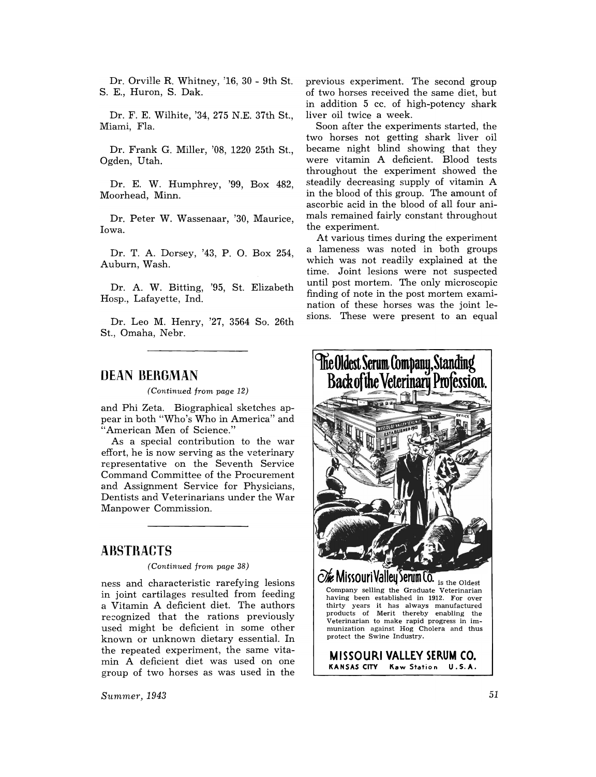Dr. Orville R. Whitney, '16, 30 - 9th St. S. E., Huron, S. Dak.

Dr. F. E. Wilhite, '34, 275 N.E. 37th St., Miami, Fla.

Dr. Frank G. Miller, '08, 1220 25th St., Ogden, Utah.

Dr. E. W. Humphrey, '99, Box 482, Moorhead, Minn.

Dr. Peter W. Wassenaar, '30, Maurice, Iowa.

Dr. T. A. Dorsey, '43, P. O. Box 254, Auburn, Wash.

Dr. A. W. Bitting, '95, St. Elizabeth Hosp., Lafayette, Ind.

Dr. Leo M. Henry, '27, 3564 So. 26th St., Omaha, Nebr.

## **DEAN BERGMAN**

*(Continued from page 12)* 

and Phi Zeta. Biographical sketches appear in both "Who's Who in America" and "American Men of Science."

As a special contribution to the war effort, he is now serving as the veterinary representative on the Seventh Service Command Committee of the Procurement and Assignment Service for Physicians, Dentists and Veterinarians under the War Manpower Commission.

## **AnSTHACTS**

*(Continued from page 38)* 

ness and characteristic rarefying lesions in joint cartilages resulted from feeding a Vitamin A deficient diet. The authors recognized that the rations previously used might be deficient in some other known or unknown dietary essential. In the repeated experiment, the same vitamin A deficient diet was used on one group of two horses as was used in the

S1lmmeT, *1943* 

previous experiment. The second group of two horses received the same diet, but in addition 5 cc. of high-potency shark liver oil twice a week.

Soon after the experiments started, the two horses not getting shark liver oil became night blind showing that they were vitamin A deficient. Blood tests throughout the experiment showed the steadily decreasing supply of vitamin A in the blood of this group. The amount of ascorbic acid in the blood of all four animals remained fairly constant throughout the experiment.

At various times during the experiment a lameness was noted in both groups which was not readily explained at the time. Joint lesions were not suspected until post mortem. The only microscopic finding of note in the post mortem examination of these horses was the joint lesions. These were present to an equal